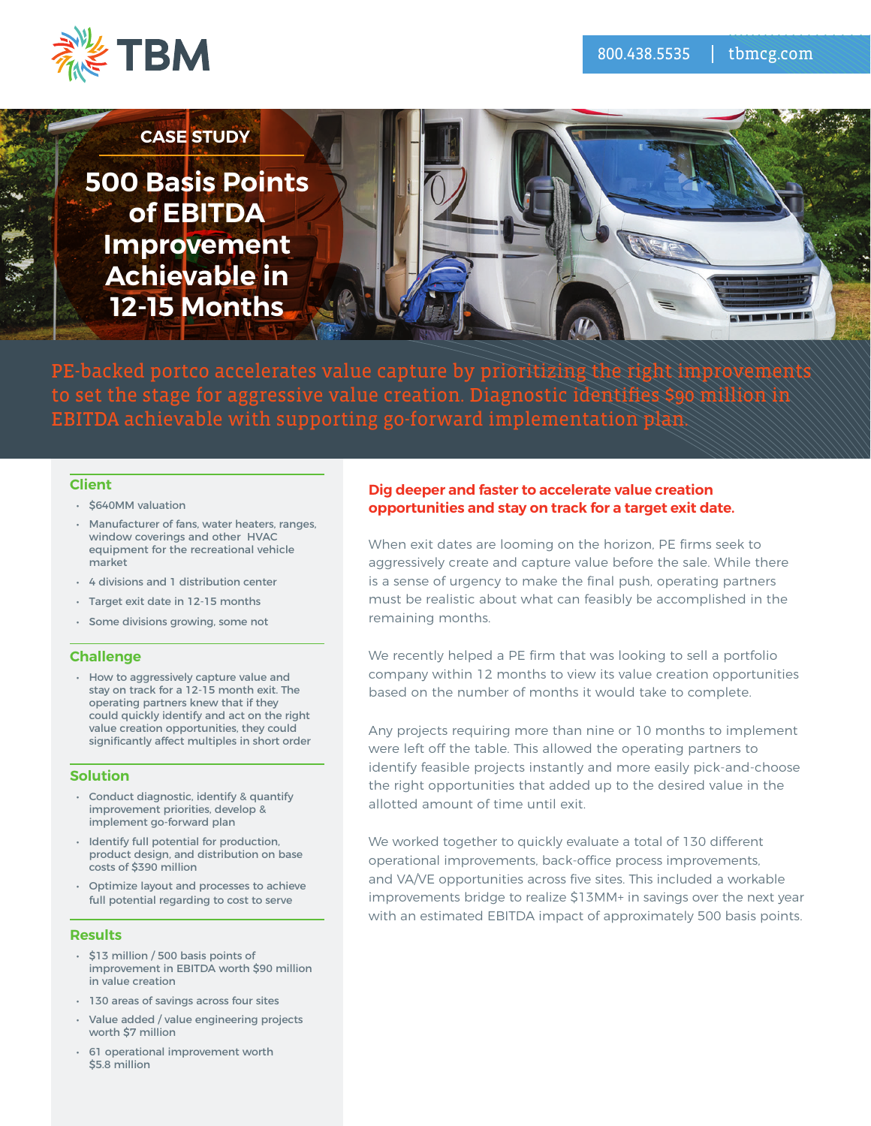



PE-backed portco accelerates value capture by prioritizing the right improvements to set the stage for aggressive value creation. Diagnostic identifies \$90 million in EBITDA achievable with supporting go-forward implementation plan.

### **Client**

- \$640MM valuation
- Manufacturer of fans, water heaters, ranges, window coverings and other HVAC equipment for the recreational vehicle market
- 4 divisions and 1 distribution center
- Target exit date in 12-15 months
- Some divisions growing, some not

#### **Challenge**

• How to aggressively capture value and stay on track for a 12-15 month exit. The operating partners knew that if they could quickly identify and act on the right value creation opportunities, they could significantly affect multiples in short order

#### **Solution**

- Conduct diagnostic, identify & quantify improvement priorities, develop & implement go-forward plan
- Identify full potential for production, product design, and distribution on base costs of \$390 million
- Optimize layout and processes to achieve full potential regarding to cost to serve

#### **Results**

- \$13 million / 500 basis points of improvement in EBITDA worth \$90 million in value creation
- 130 areas of savings across four sites
- Value added / value engineering projects worth \$7 million
- 61 operational improvement worth \$5.8 million

### **Dig deeper and faster to accelerate value creation opportunities and stay on track for a target exit date.**

When exit dates are looming on the horizon, PE firms seek to aggressively create and capture value before the sale. While there is a sense of urgency to make the final push, operating partners must be realistic about what can feasibly be accomplished in the remaining months.

We recently helped a PE firm that was looking to sell a portfolio company within 12 months to view its value creation opportunities based on the number of months it would take to complete.

Any projects requiring more than nine or 10 months to implement were left off the table. This allowed the operating partners to identify feasible projects instantly and more easily pick-and-choose the right opportunities that added up to the desired value in the allotted amount of time until exit.

We worked together to quickly evaluate a total of 130 different operational improvements, back-office process improvements, and VA/VE opportunities across five sites. This included a workable improvements bridge to realize \$13MM+ in savings over the next year with an estimated EBITDA impact of approximately 500 basis points.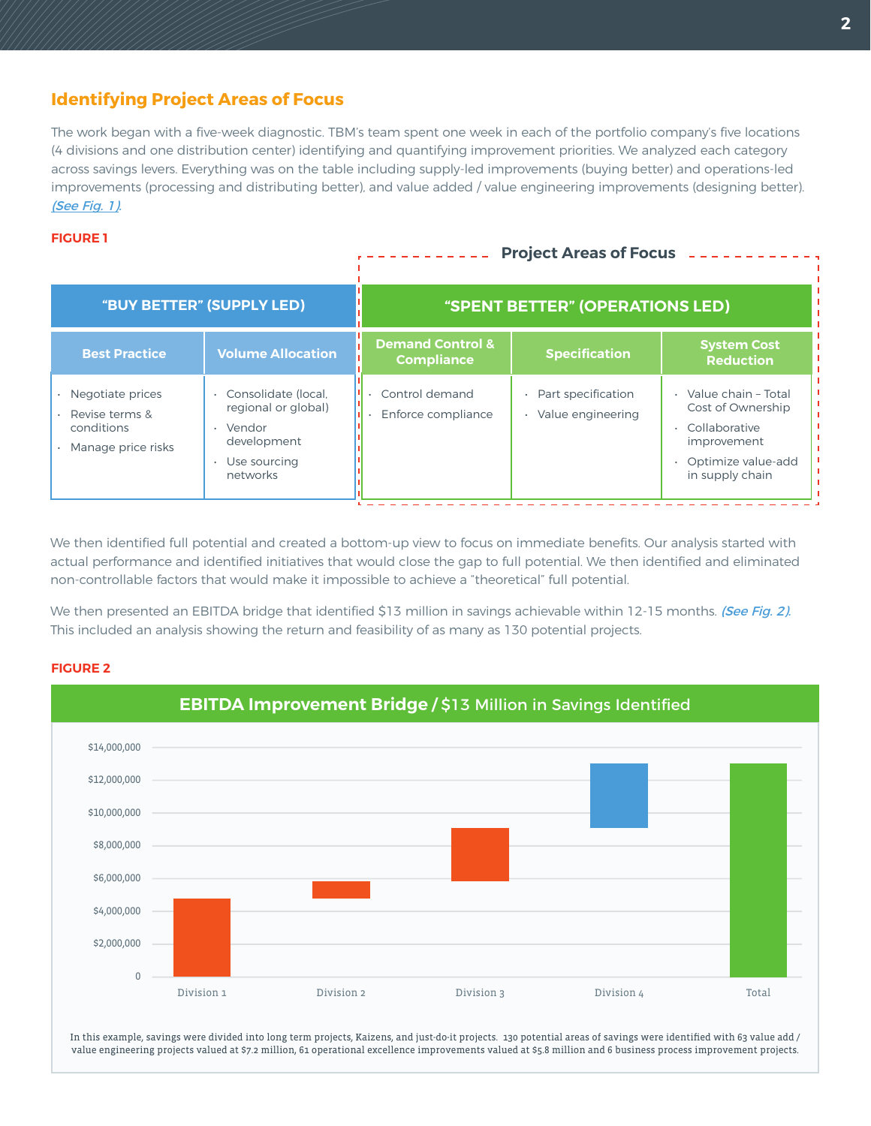# **Identifying Project Areas of Focus**

The work began with a five-week diagnostic. TBM's team spent one week in each of the portfolio company's five locations (4 divisions and one distribution center) identifying and quantifying improvement priorities. We analyzed each category across savings levers. Everything was on the table including supply-led improvements (buying better) and operations-led improvements (processing and distributing better), and value added / value engineering improvements (designing better). (See Fig. 1).

### **FIGURE 1**

#### **"BUY BETTER" (SUPPLY LED) Demand Control & Compliance Best Practice Specification System Cost Reduction Reduction Reduction Reduction Reduction Reduction Reduction "SPENT BETTER" (OPERATIONS LED)** • Part specification • Value engineering • Value chain – Total Cost of Ownership • Collaborative improvement • Optimize value-add in supply chain • Consolidate (local, regional or global) • Vendor development Use sourcing networks Control demand • Enforce compliance • Negotiate prices • Revise terms & conditions • Manage price risks **Project Areas of Focus**

We then identified full potential and created a bottom-up view to focus on immediate benefits. Our analysis started with actual performance and identified initiatives that would close the gap to full potential. We then identified and eliminated non-controllable factors that would make it impossible to achieve a "theoretical" full potential.

We then presented an EBITDA bridge that identified \$13 million in savings achievable within 12-15 months. (See Fig. 2). This included an analysis showing the return and feasibility of as many as 130 potential projects.

#### **FIGURE 2**



In this example, savings were divided into long term projects, Kaizens, and just-do-it projects. 130 potential areas of savings were identified with 63 value add / value engineering projects valued at \$7.2 million, 61 operational excellence improvements valued at \$5.8 million and 6 business process improvement projects.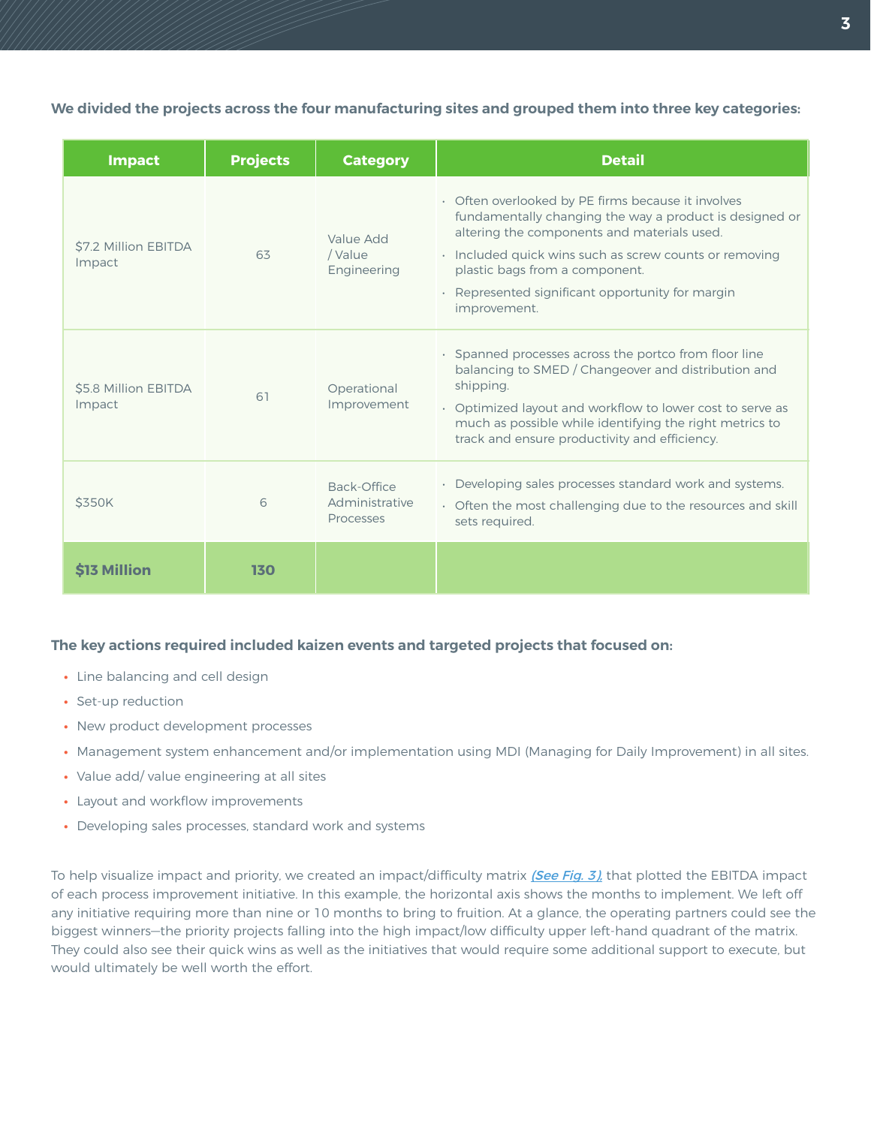**We divided the projects across the four manufacturing sites and grouped them into three key categories:**

| <b>Impact</b>                  | <b>Projects</b> | <b>Category</b>                            | <b>Detail</b>                                                                                                                                                                                                                                                                                                                |  |
|--------------------------------|-----------------|--------------------------------------------|------------------------------------------------------------------------------------------------------------------------------------------------------------------------------------------------------------------------------------------------------------------------------------------------------------------------------|--|
| \$7.2 Million EBITDA<br>Impact | 63              | Value Add<br>/ Value<br>Engineering        | • Often overlooked by PE firms because it involves<br>fundamentally changing the way a product is designed or<br>altering the components and materials used.<br>• Included quick wins such as screw counts or removing<br>plastic bags from a component.<br>• Represented significant opportunity for margin<br>improvement. |  |
| \$5.8 Million EBITDA<br>Impact | 61              | Operational<br>Improvement                 | · Spanned processes across the portco from floor line<br>balancing to SMED / Changeover and distribution and<br>shipping.<br>• Optimized layout and workflow to lower cost to serve as<br>much as possible while identifying the right metrics to<br>track and ensure productivity and efficiency.                           |  |
| <b>\$350K</b>                  | 6               | Back-Office<br>Administrative<br>Processes | · Developing sales processes standard work and systems.<br>• Often the most challenging due to the resources and skill<br>sets required.                                                                                                                                                                                     |  |
| <b>S13 Million</b>             | 130             |                                            |                                                                                                                                                                                                                                                                                                                              |  |

# **The key actions required included kaizen events and targeted projects that focused on:**

- **•** Line balancing and cell design
- **•** Set-up reduction
- **•** New product development processes
- **•** Management system enhancement and/or implementation using MDI (Managing for Daily Improvement) in all sites.
- **•** Value add/ value engineering at all sites
- **•** Layout and workflow improvements
- **•** Developing sales processes, standard work and systems

To help visualize impact and priority, we created an impact/difficulty matrix [\(See Fig. 3\),](#page-3-0) that plotted the EBITDA impact of each process improvement initiative. In this example, the horizontal axis shows the months to implement. We left off any initiative requiring more than nine or 10 months to bring to fruition. At a glance, the operating partners could see the biggest winners—the priority projects falling into the high impact/low difficulty upper left-hand quadrant of the matrix. They could also see their quick wins as well as the initiatives that would require some additional support to execute, but would ultimately be well worth the effort.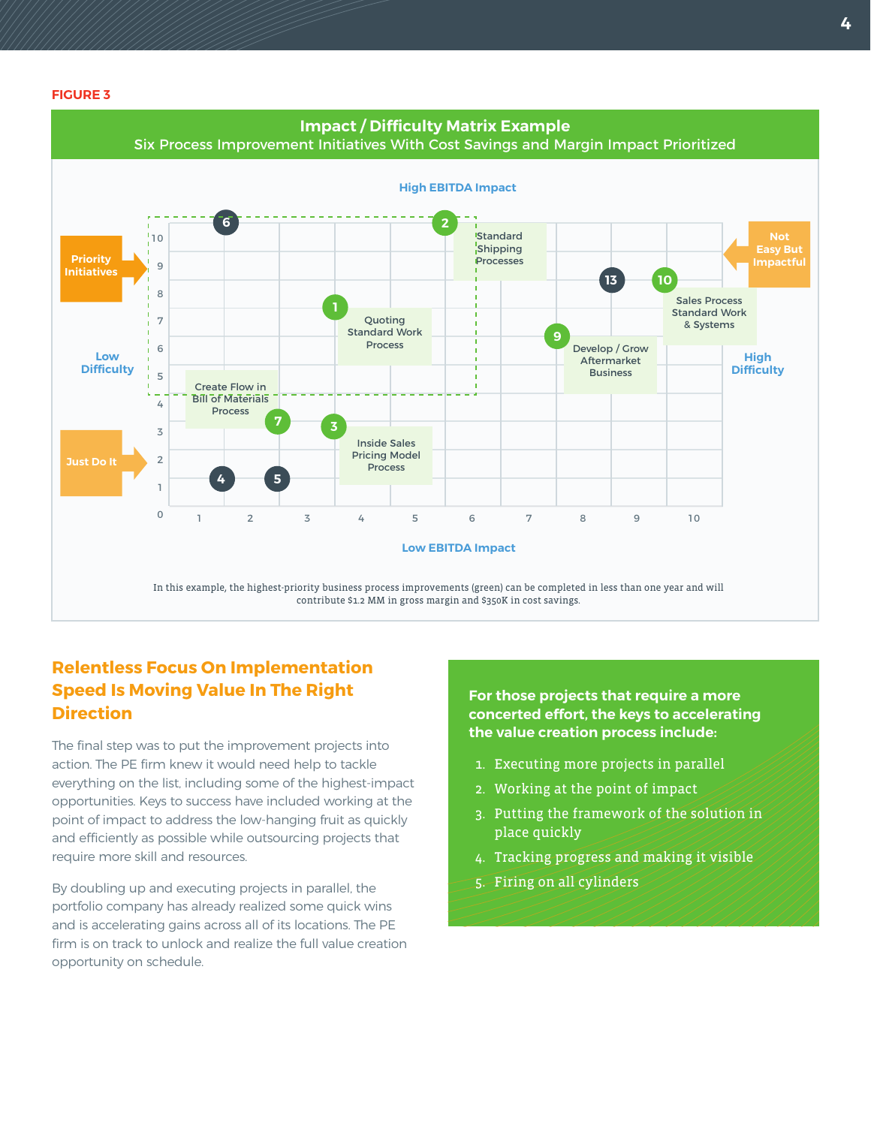<span id="page-3-0"></span>**FIGURE 3**



# **Relentless Focus On Implementation Speed Is Moving Value In The Right Direction**

The final step was to put the improvement projects into action. The PE firm knew it would need help to tackle everything on the list, including some of the highest-impact opportunities. Keys to success have included working at the point of impact to address the low-hanging fruit as quickly and efficiently as possible while outsourcing projects that require more skill and resources.

By doubling up and executing projects in parallel, the portfolio company has already realized some quick wins and is accelerating gains across all of its locations. The PE firm is on track to unlock and realize the full value creation opportunity on schedule.

**For those projects that require a more concerted effort, the keys to accelerating the value creation process include:**

- 1. Executing more projects in parallel
- 2. Working at the point of impact
- 3. Putting the framework of the solution in place quickly
- 4. Tracking progress and making it visible
- 5. Firing on all cylinders